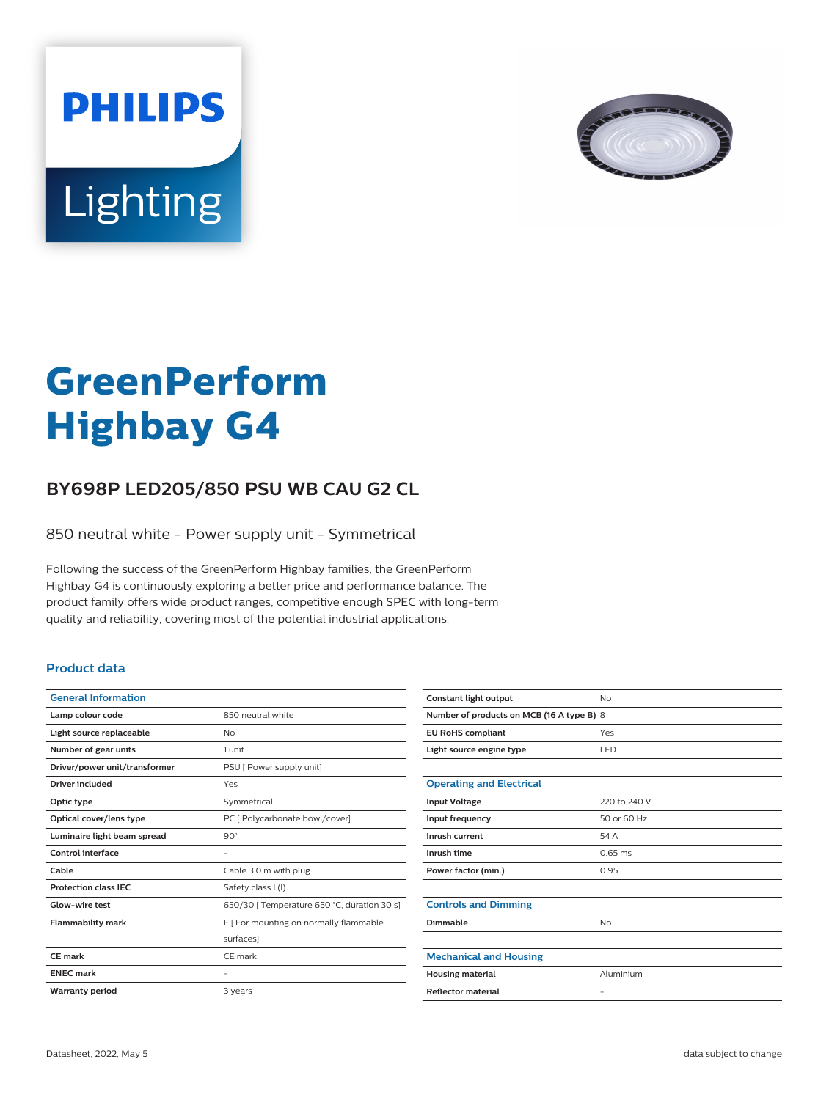



# **GreenPerform Highbay G4**

## **BY698P LED205/850 PSU WB CAU G2 CL**

850 neutral white - Power supply unit - Symmetrical

Following the success of the GreenPerform Highbay families, the GreenPerform Highbay G4 is continuously exploring a better price and performance balance. The product family offers wide product ranges, competitive enough SPEC with long-term quality and reliability, covering most of the potential industrial applications.

#### **Product data**

| <b>General Information</b>    |                                             |
|-------------------------------|---------------------------------------------|
| Lamp colour code              | 850 neutral white                           |
| Light source replaceable      | No                                          |
| Number of gear units          | 1 unit                                      |
| Driver/power unit/transformer | PSU [ Power supply unit]                    |
| Driver included               | Yes                                         |
| Optic type                    | Symmetrical                                 |
| Optical cover/lens type       | PC [ Polycarbonate bowl/cover]              |
| Luminaire light beam spread   | $90^\circ$                                  |
| Control interface             |                                             |
| Cable                         | Cable 3.0 m with plug                       |
| <b>Protection class IEC</b>   | Safety class I (I)                          |
| Glow-wire test                | 650/30   Temperature 650 °C, duration 30 s] |
| <b>Flammability mark</b>      | F [ For mounting on normally flammable      |
|                               | surfaces]                                   |
| CF mark                       | CF mark                                     |
| <b>ENEC mark</b>              |                                             |
| <b>Warranty period</b>        | 3 years                                     |
|                               |                                             |

| Constant light output                     | No                |  |
|-------------------------------------------|-------------------|--|
| Number of products on MCB (16 A type B) 8 |                   |  |
| <b>EU RoHS compliant</b>                  | Yes               |  |
| Light source engine type                  | LED               |  |
|                                           |                   |  |
| <b>Operating and Electrical</b>           |                   |  |
| <b>Input Voltage</b>                      | 220 to 240 V      |  |
| Input frequency                           | 50 or 60 Hz       |  |
| Inrush current                            | 54 A              |  |
| Inrush time                               | $0.65$ ms         |  |
| Power factor (min.)                       | 0.95              |  |
|                                           |                   |  |
| <b>Controls and Dimming</b>               |                   |  |
| Dimmable                                  | No                |  |
|                                           |                   |  |
| <b>Mechanical and Housing</b>             |                   |  |
| <b>Housing material</b>                   | Aluminium         |  |
| <b>Reflector material</b>                 | $\qquad \qquad -$ |  |
|                                           |                   |  |